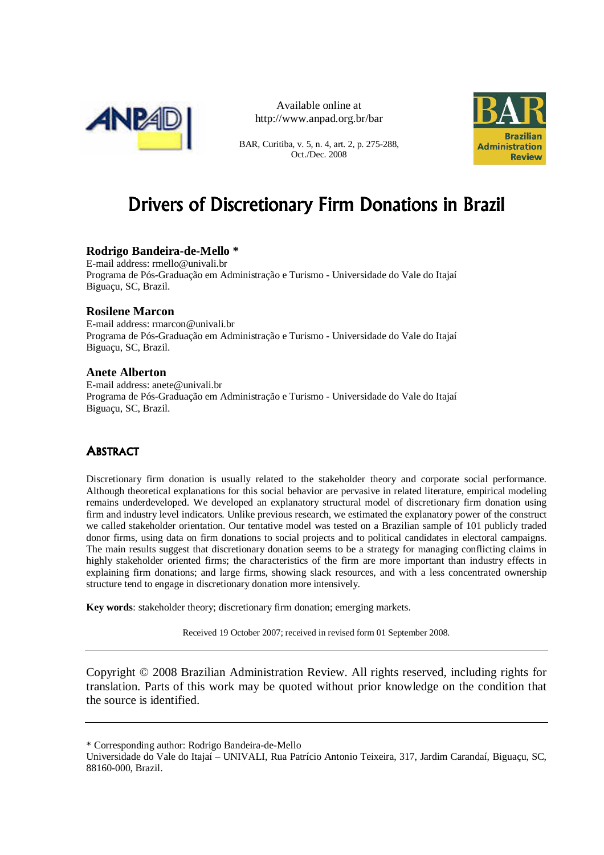

Available online at http://www.anpad.org.br/bar

BAR, Curitiba, v. 5, n. 4, art. 2, p. 275-288, Oct./Dec. 2008



# Drivers of Discretionary Firm Donations in Brazil

## **Rodrigo Bandeira-de-Mello \***

E-mail address: rmello@univali.br Programa de Pós-Graduação em Administração e Turismo - Universidade do Vale do Itajaí Biguaçu, SC, Brazil.

## **Rosilene Marcon**

E-mail address: rmarcon@univali.br Programa de Pós-Graduação em Administração e Turismo - Universidade do Vale do Itajaí Biguaçu, SC, Brazil.

## **Anete Alberton**

E-mail address: anete@univali.br Programa de Pós-Graduação em Administração e Turismo - Universidade do Vale do Itajaí Biguaçu, SC, Brazil.

# **ABSTRACT**

Discretionary firm donation is usually related to the stakeholder theory and corporate social performance. Although theoretical explanations for this social behavior are pervasive in related literature, empirical modeling remains underdeveloped. We developed an explanatory structural model of discretionary firm donation using firm and industry level indicators. Unlike previous research, we estimated the explanatory power of the construct we called stakeholder orientation. Our tentative model was tested on a Brazilian sample of 101 publicly traded donor firms, using data on firm donations to social projects and to political candidates in electoral campaigns. The main results suggest that discretionary donation seems to be a strategy for managing conflicting claims in highly stakeholder oriented firms; the characteristics of the firm are more important than industry effects in explaining firm donations; and large firms, showing slack resources, and with a less concentrated ownership structure tend to engage in discretionary donation more intensively.

**Key words**: stakeholder theory; discretionary firm donation; emerging markets.

Received 19 October 2007; received in revised form 01 September 2008.

Copyright © 2008 Brazilian Administration Review. All rights reserved, including rights for translation. Parts of this work may be quoted without prior knowledge on the condition that the source is identified.

<sup>\*</sup> Corresponding author: Rodrigo Bandeira-de-Mello

Universidade do Vale do Itajaí – UNIVALI, Rua Patrício Antonio Teixeira, 317, Jardim Carandaí, Biguaçu, SC, 88160-000, Brazil.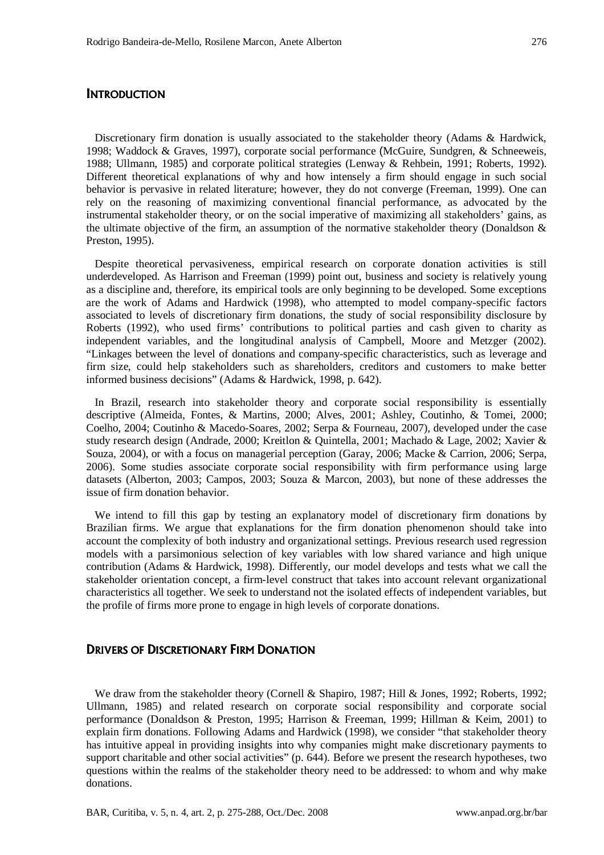### **INTRODUCTION**

Discretionary firm donation is usually associated to the stakeholder theory (Adams & Hardwick, 1998; Waddock & Graves, 1997), corporate social performance (McGuire, Sundgren, & Schneeweis, 1988; Ullmann, 1985) and corporate political strategies (Lenway & Rehbein, 1991; Roberts, 1992). Different theoretical explanations of why and how intensely a firm should engage in such social behavior is pervasive in related literature; however, they do not converge (Freeman, 1999). One can rely on the reasoning of maximizing conventional financial performance, as advocated by the instrumental stakeholder theory, or on the social imperative of maximizing all stakeholders' gains, as the ultimate objective of the firm, an assumption of the normative stakeholder theory (Donaldson & Preston, 1995).

Despite theoretical pervasiveness, empirical research on corporate donation activities is still underdeveloped. As Harrison and Freeman (1999) point out, business and society is relatively young as a discipline and, therefore, its empirical tools are only beginning to be developed. Some exceptions are the work of Adams and Hardwick (1998), who attempted to model company-specific factors associated to levels of discretionary firm donations, the study of social responsibility disclosure by Roberts (1992), who used firms' contributions to political parties and cash given to charity as independent variables, and the longitudinal analysis of Campbell, Moore and Metzger (2002). "Linkages between the level of donations and company-specific characteristics, such as leverage and firm size, could help stakeholders such as shareholders, creditors and customers to make better informed business decisions" (Adams & Hardwick, 1998, p. 642).

In Brazil, research into stakeholder theory and corporate social responsibility is essentially descriptive (Almeida, Fontes, & Martins, 2000; Alves, 2001; Ashley, Coutinho, & Tomei, 2000; Coelho, 2004; Coutinho & Macedo-Soares, 2002; Serpa & Fourneau, 2007), developed under the case study research design (Andrade, 2000; Kreitlon & Quintella, 2001; Machado & Lage, 2002; Xavier & Souza, 2004), or with a focus on managerial perception (Garay, 2006; Macke & Carrion, 2006; Serpa, 2006). Some studies associate corporate social responsibility with firm performance using large datasets (Alberton, 2003; Campos, 2003; Souza & Marcon, 2003), but none of these addresses the issue of firm donation behavior.

We intend to fill this gap by testing an explanatory model of discretionary firm donations by Brazilian firms. We argue that explanations for the firm donation phenomenon should take into account the complexity of both industry and organizational settings. Previous research used regression models with a parsimonious selection of key variables with low shared variance and high unique contribution (Adams & Hardwick, 1998). Differently, our model develops and tests what we call the stakeholder orientation concept, a firm-level construct that takes into account relevant organizational characteristics all together. We seek to understand not the isolated effects of independent variables, but the profile of firms more prone to engage in high levels of corporate donations.

## DRIVERS OF DISCRETIONARY FIRM DONATION

We draw from the stakeholder theory (Cornell & Shapiro, 1987; Hill & Jones, 1992; Roberts, 1992; Ullmann, 1985) and related research on corporate social responsibility and corporate social performance (Donaldson & Preston, 1995; Harrison & Freeman, 1999; Hillman & Keim, 2001) to explain firm donations. Following Adams and Hardwick (1998), we consider "that stakeholder theory has intuitive appeal in providing insights into why companies might make discretionary payments to support charitable and other social activities" (p. 644). Before we present the research hypotheses, two questions within the realms of the stakeholder theory need to be addressed: to whom and why make donations.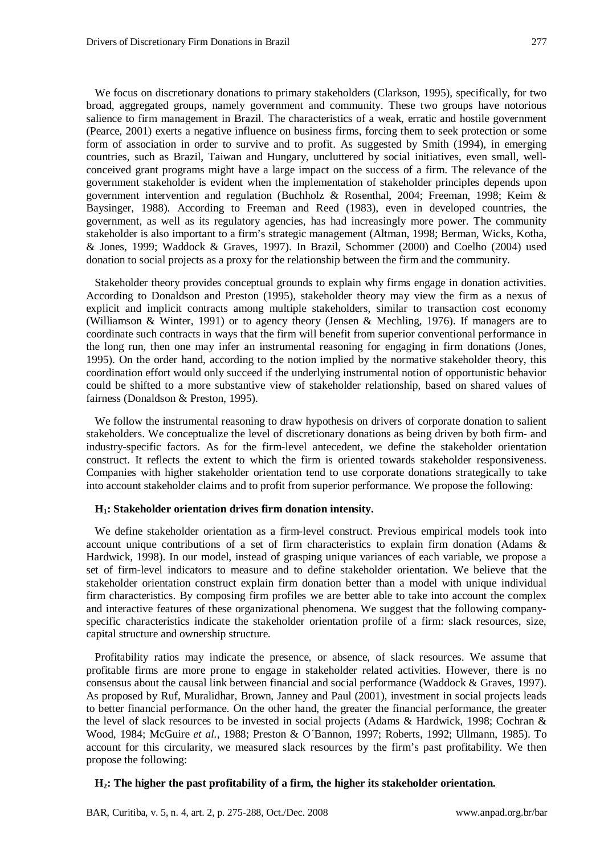We focus on discretionary donations to primary stakeholders (Clarkson, 1995), specifically, for two broad, aggregated groups, namely government and community. These two groups have notorious salience to firm management in Brazil. The characteristics of a weak, erratic and hostile government (Pearce, 2001) exerts a negative influence on business firms, forcing them to seek protection or some form of association in order to survive and to profit. As suggested by Smith (1994), in emerging countries, such as Brazil, Taiwan and Hungary, uncluttered by social initiatives, even small, wellconceived grant programs might have a large impact on the success of a firm. The relevance of the government stakeholder is evident when the implementation of stakeholder principles depends upon government intervention and regulation (Buchholz & Rosenthal, 2004; Freeman, 1998; Keim & Baysinger, 1988). According to Freeman and Reed (1983), even in developed countries, the government, as well as its regulatory agencies, has had increasingly more power. The community stakeholder is also important to a firm's strategic management (Altman, 1998; Berman, Wicks, Kotha, & Jones, 1999; Waddock & Graves, 1997). In Brazil, Schommer (2000) and Coelho (2004) used donation to social projects as a proxy for the relationship between the firm and the community.

Stakeholder theory provides conceptual grounds to explain why firms engage in donation activities. According to Donaldson and Preston (1995), stakeholder theory may view the firm as a nexus of explicit and implicit contracts among multiple stakeholders, similar to transaction cost economy (Williamson & Winter, 1991) or to agency theory (Jensen & Mechling, 1976). If managers are to coordinate such contracts in ways that the firm will benefit from superior conventional performance in the long run, then one may infer an instrumental reasoning for engaging in firm donations (Jones, 1995). On the order hand, according to the notion implied by the normative stakeholder theory, this coordination effort would only succeed if the underlying instrumental notion of opportunistic behavior could be shifted to a more substantive view of stakeholder relationship, based on shared values of fairness (Donaldson & Preston, 1995).

We follow the instrumental reasoning to draw hypothesis on drivers of corporate donation to salient stakeholders. We conceptualize the level of discretionary donations as being driven by both firm- and industry-specific factors. As for the firm-level antecedent, we define the stakeholder orientation construct. It reflects the extent to which the firm is oriented towards stakeholder responsiveness. Companies with higher stakeholder orientation tend to use corporate donations strategically to take into account stakeholder claims and to profit from superior performance. We propose the following:

#### **H1: Stakeholder orientation drives firm donation intensity.**

We define stakeholder orientation as a firm-level construct. Previous empirical models took into account unique contributions of a set of firm characteristics to explain firm donation (Adams & Hardwick, 1998). In our model, instead of grasping unique variances of each variable, we propose a set of firm-level indicators to measure and to define stakeholder orientation. We believe that the stakeholder orientation construct explain firm donation better than a model with unique individual firm characteristics. By composing firm profiles we are better able to take into account the complex and interactive features of these organizational phenomena. We suggest that the following companyspecific characteristics indicate the stakeholder orientation profile of a firm: slack resources, size, capital structure and ownership structure.

Profitability ratios may indicate the presence, or absence, of slack resources. We assume that profitable firms are more prone to engage in stakeholder related activities. However, there is no consensus about the causal link between financial and social performance (Waddock & Graves, 1997). As proposed by Ruf, Muralidhar, Brown, Janney and Paul (2001), investment in social projects leads to better financial performance. On the other hand, the greater the financial performance, the greater the level of slack resources to be invested in social projects (Adams & Hardwick, 1998; Cochran & Wood, 1984; McGuire *et al.*, 1988; Preston & O´Bannon, 1997; Roberts, 1992; Ullmann, 1985). To account for this circularity, we measured slack resources by the firm's past profitability. We then propose the following:

#### **H2: The higher the past profitability of a firm, the higher its stakeholder orientation.**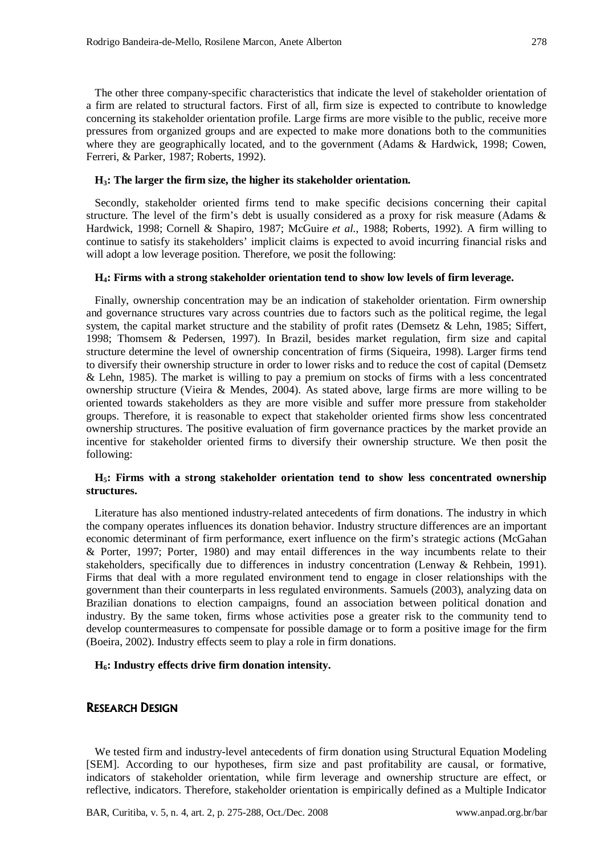The other three company-specific characteristics that indicate the level of stakeholder orientation of a firm are related to structural factors. First of all, firm size is expected to contribute to knowledge concerning its stakeholder orientation profile. Large firms are more visible to the public, receive more pressures from organized groups and are expected to make more donations both to the communities where they are geographically located, and to the government (Adams & Hardwick, 1998; Cowen, Ferreri, & Parker, 1987; Roberts, 1992).

#### **H3: The larger the firm size, the higher its stakeholder orientation.**

Secondly, stakeholder oriented firms tend to make specific decisions concerning their capital structure. The level of the firm's debt is usually considered as a proxy for risk measure (Adams & Hardwick, 1998; Cornell & Shapiro, 1987; McGuire *et al.*, 1988; Roberts, 1992). A firm willing to continue to satisfy its stakeholders' implicit claims is expected to avoid incurring financial risks and will adopt a low leverage position. Therefore, we posit the following:

#### **H4: Firms with a strong stakeholder orientation tend to show low levels of firm leverage.**

Finally, ownership concentration may be an indication of stakeholder orientation. Firm ownership and governance structures vary across countries due to factors such as the political regime, the legal system, the capital market structure and the stability of profit rates (Demsetz & Lehn, 1985; Siffert, 1998; Thomsem & Pedersen, 1997). In Brazil, besides market regulation, firm size and capital structure determine the level of ownership concentration of firms (Siqueira, 1998). Larger firms tend to diversify their ownership structure in order to lower risks and to reduce the cost of capital (Demsetz & Lehn, 1985). The market is willing to pay a premium on stocks of firms with a less concentrated ownership structure (Vieira & Mendes, 2004). As stated above, large firms are more willing to be oriented towards stakeholders as they are more visible and suffer more pressure from stakeholder groups. Therefore, it is reasonable to expect that stakeholder oriented firms show less concentrated ownership structures. The positive evaluation of firm governance practices by the market provide an incentive for stakeholder oriented firms to diversify their ownership structure. We then posit the following:

#### **H5: Firms with a strong stakeholder orientation tend to show less concentrated ownership structures.**

Literature has also mentioned industry-related antecedents of firm donations. The industry in which the company operates influences its donation behavior. Industry structure differences are an important economic determinant of firm performance, exert influence on the firm's strategic actions (McGahan & Porter, 1997; Porter, 1980) and may entail differences in the way incumbents relate to their stakeholders, specifically due to differences in industry concentration (Lenway  $\&$  Rehbein, 1991). Firms that deal with a more regulated environment tend to engage in closer relationships with the government than their counterparts in less regulated environments. Samuels (2003), analyzing data on Brazilian donations to election campaigns, found an association between political donation and industry. By the same token, firms whose activities pose a greater risk to the community tend to develop countermeasures to compensate for possible damage or to form a positive image for the firm (Boeira, 2002). Industry effects seem to play a role in firm donations.

#### **H6: Industry effects drive firm donation intensity.**

## RESEARCH DESIGN

We tested firm and industry-level antecedents of firm donation using Structural Equation Modeling [SEM]. According to our hypotheses, firm size and past profitability are causal, or formative, indicators of stakeholder orientation, while firm leverage and ownership structure are effect, or reflective, indicators. Therefore, stakeholder orientation is empirically defined as a Multiple Indicator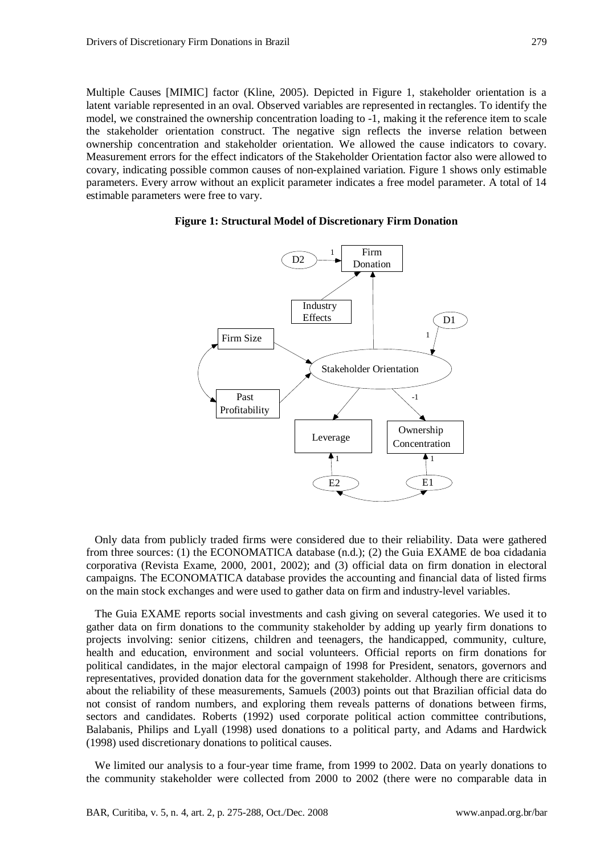Multiple Causes [MIMIC] factor (Kline, 2005). Depicted in Figure 1, stakeholder orientation is a latent variable represented in an oval. Observed variables are represented in rectangles. To identify the model, we constrained the ownership concentration loading to -1, making it the reference item to scale the stakeholder orientation construct. The negative sign reflects the inverse relation between ownership concentration and stakeholder orientation. We allowed the cause indicators to covary. Measurement errors for the effect indicators of the Stakeholder Orientation factor also were allowed to covary, indicating possible common causes of non-explained variation. Figure 1 shows only estimable parameters. Every arrow without an explicit parameter indicates a free model parameter. A total of 14 estimable parameters were free to vary.



## **Figure 1: Structural Model of Discretionary Firm Donation**

Only data from publicly traded firms were considered due to their reliability. Data were gathered from three sources: (1) the ECONOMATICA database (n.d.); (2) the Guia EXAME de boa cidadania corporativa (Revista Exame, 2000, 2001, 2002); and (3) official data on firm donation in electoral campaigns. The ECONOMATICA database provides the accounting and financial data of listed firms on the main stock exchanges and were used to gather data on firm and industry-level variables.

The Guia EXAME reports social investments and cash giving on several categories. We used it to gather data on firm donations to the community stakeholder by adding up yearly firm donations to projects involving: senior citizens, children and teenagers, the handicapped, community, culture, health and education, environment and social volunteers. Official reports on firm donations for political candidates, in the major electoral campaign of 1998 for President, senators, governors and representatives, provided donation data for the government stakeholder. Although there are criticisms about the reliability of these measurements, Samuels (2003) points out that Brazilian official data do not consist of random numbers, and exploring them reveals patterns of donations between firms, sectors and candidates. Roberts (1992) used corporate political action committee contributions, Balabanis, Philips and Lyall (1998) used donations to a political party, and Adams and Hardwick (1998) used discretionary donations to political causes.

We limited our analysis to a four-year time frame, from 1999 to 2002. Data on yearly donations to the community stakeholder were collected from 2000 to 2002 (there were no comparable data in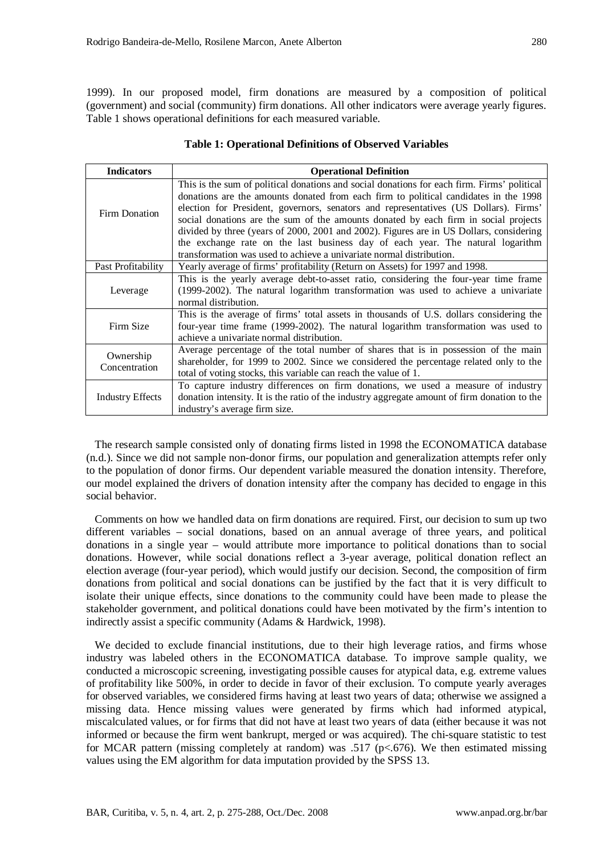1999). In our proposed model, firm donations are measured by a composition of political (government) and social (community) firm donations. All other indicators were average yearly figures. Table 1 shows operational definitions for each measured variable.

|  |  |  | <b>Table 1: Operational Definitions of Observed Variables</b> |  |
|--|--|--|---------------------------------------------------------------|--|
|--|--|--|---------------------------------------------------------------|--|

| <b>Indicators</b>          | <b>Operational Definition</b>                                                                                                                                                                                                                                                                                                                                                                                                                                                                                                                                                                                           |
|----------------------------|-------------------------------------------------------------------------------------------------------------------------------------------------------------------------------------------------------------------------------------------------------------------------------------------------------------------------------------------------------------------------------------------------------------------------------------------------------------------------------------------------------------------------------------------------------------------------------------------------------------------------|
| Firm Donation              | This is the sum of political donations and social donations for each firm. Firms' political<br>donations are the amounts donated from each firm to political candidates in the 1998<br>election for President, governors, senators and representatives (US Dollars). Firms'<br>social donations are the sum of the amounts donated by each firm in social projects<br>divided by three (years of 2000, 2001 and 2002). Figures are in US Dollars, considering<br>the exchange rate on the last business day of each year. The natural logarithm<br>transformation was used to achieve a univariate normal distribution. |
| Past Profitability         | Yearly average of firms' profitability (Return on Assets) for 1997 and 1998.                                                                                                                                                                                                                                                                                                                                                                                                                                                                                                                                            |
| Leverage                   | This is the yearly average debt-to-asset ratio, considering the four-year time frame<br>(1999-2002). The natural logarithm transformation was used to achieve a univariate<br>normal distribution.                                                                                                                                                                                                                                                                                                                                                                                                                      |
| Firm Size                  | This is the average of firms' total assets in thousands of U.S. dollars considering the<br>four-year time frame (1999-2002). The natural logarithm transformation was used to<br>achieve a univariate normal distribution.                                                                                                                                                                                                                                                                                                                                                                                              |
| Ownership<br>Concentration | Average percentage of the total number of shares that is in possession of the main<br>shareholder, for 1999 to 2002. Since we considered the percentage related only to the<br>total of voting stocks, this variable can reach the value of 1.                                                                                                                                                                                                                                                                                                                                                                          |
| <b>Industry Effects</b>    | To capture industry differences on firm donations, we used a measure of industry<br>donation intensity. It is the ratio of the industry aggregate amount of firm donation to the<br>industry's average firm size.                                                                                                                                                                                                                                                                                                                                                                                                       |

The research sample consisted only of donating firms listed in 1998 the ECONOMATICA database (n.d.). Since we did not sample non-donor firms, our population and generalization attempts refer only to the population of donor firms. Our dependent variable measured the donation intensity. Therefore, our model explained the drivers of donation intensity after the company has decided to engage in this social behavior.

Comments on how we handled data on firm donations are required. First, our decision to sum up two different variables – social donations, based on an annual average of three years, and political donations in a single year – would attribute more importance to political donations than to social donations. However, while social donations reflect a 3-year average, political donation reflect an election average (four-year period), which would justify our decision. Second, the composition of firm donations from political and social donations can be justified by the fact that it is very difficult to isolate their unique effects, since donations to the community could have been made to please the stakeholder government, and political donations could have been motivated by the firm's intention to indirectly assist a specific community (Adams & Hardwick, 1998).

We decided to exclude financial institutions, due to their high leverage ratios, and firms whose industry was labeled others in the ECONOMATICA database. To improve sample quality, we conducted a microscopic screening, investigating possible causes for atypical data, e.g. extreme values of profitability like 500%, in order to decide in favor of their exclusion. To compute yearly averages for observed variables, we considered firms having at least two years of data; otherwise we assigned a missing data. Hence missing values were generated by firms which had informed atypical, miscalculated values, or for firms that did not have at least two years of data (either because it was not informed or because the firm went bankrupt, merged or was acquired). The chi-square statistic to test for MCAR pattern (missing completely at random) was .517 (p<.676). We then estimated missing values using the EM algorithm for data imputation provided by the SPSS 13.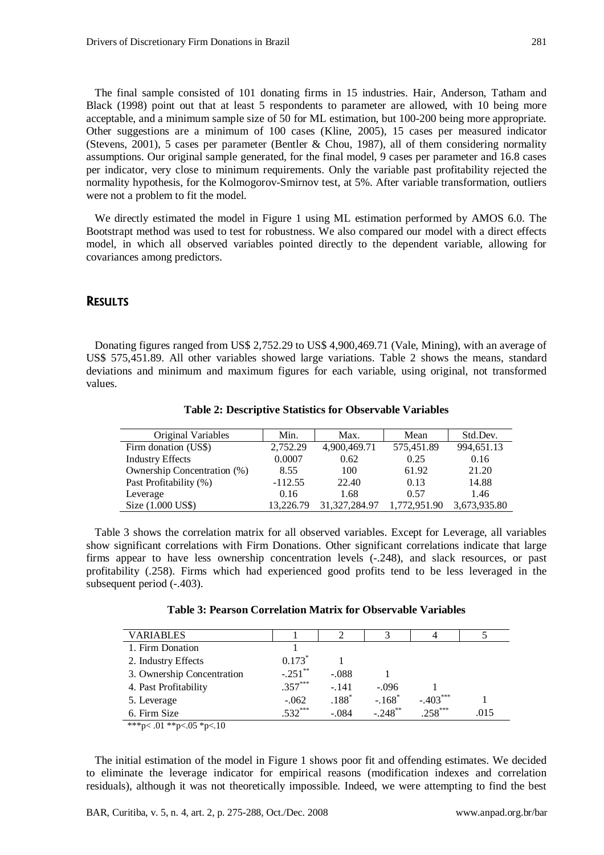The final sample consisted of 101 donating firms in 15 industries. Hair, Anderson, Tatham and Black (1998) point out that at least 5 respondents to parameter are allowed, with 10 being more acceptable, and a minimum sample size of 50 for ML estimation, but 100-200 being more appropriate. Other suggestions are a minimum of 100 cases (Kline, 2005), 15 cases per measured indicator (Stevens, 2001), 5 cases per parameter (Bentler & Chou, 1987), all of them considering normality assumptions. Our original sample generated, for the final model, 9 cases per parameter and 16.8 cases per indicator, very close to minimum requirements. Only the variable past profitability rejected the normality hypothesis, for the Kolmogorov-Smirnov test, at 5%. After variable transformation, outliers were not a problem to fit the model.

We directly estimated the model in Figure 1 using ML estimation performed by AMOS 6.0. The Bootstrapt method was used to test for robustness. We also compared our model with a direct effects model, in which all observed variables pointed directly to the dependent variable, allowing for covariances among predictors.

## **RESULTS**

Donating figures ranged from US\$ 2,752.29 to US\$ 4,900,469.71 (Vale, Mining), with an average of US\$ 575,451.89. All other variables showed large variations. Table 2 shows the means, standard deviations and minimum and maximum figures for each variable, using original, not transformed values.

| Original Variables          | Min.      | Max.          | Mean         | Std.Dev.     |
|-----------------------------|-----------|---------------|--------------|--------------|
| Firm donation (US\$)        | 2,752.29  | 4,900,469.71  | 575,451.89   | 994,651.13   |
| <b>Industry Effects</b>     | 0.0007    | 0.62          | 0.25         | 0.16         |
| Ownership Concentration (%) | 8.55      | 100           | 61.92        | 21.20        |
| Past Profitability (%)      | $-112.55$ | 22.40         | 0.13         | 14.88        |
| Leverage                    | 0.16      | 1.68          | 0.57         | 1.46         |
| Size (1.000 US\$)           | 13.226.79 | 31.327.284.97 | 1,772,951.90 | 3,673,935.80 |

**Table 2: Descriptive Statistics for Observable Variables** 

Table 3 shows the correlation matrix for all observed variables. Except for Leverage, all variables show significant correlations with Firm Donations. Other significant correlations indicate that large firms appear to have less ownership concentration levels (-.248), and slack resources, or past profitability (.258). Firms which had experienced good profits tend to be less leveraged in the subsequent period (-.403).

| <b>Table 3: Pearson Correlation Matrix for Observable Variables</b> |  |  |  |
|---------------------------------------------------------------------|--|--|--|
|---------------------------------------------------------------------|--|--|--|

| <b>VARIABLES</b>           |            |         |                      |            |      |
|----------------------------|------------|---------|----------------------|------------|------|
| 1. Firm Donation           |            |         |                      |            |      |
| 2. Industry Effects        | $0.173*$   |         |                      |            |      |
| 3. Ownership Concentration | $-.251$ ** | $-.088$ |                      |            |      |
| 4. Past Profitability      | $.357***$  | $-.141$ | $-.096$              |            |      |
| 5. Leverage                | $-.062$    | $.188*$ | $-.168$ <sup>*</sup> | $-.403***$ |      |
| 6. Firm Size               | $.532***$  | $-.084$ | $-.248***$           | $258***$   | .015 |

\*\*\*p<.01 \*\*p<.05 \*p<.10

The initial estimation of the model in Figure 1 shows poor fit and offending estimates. We decided to eliminate the leverage indicator for empirical reasons (modification indexes and correlation residuals), although it was not theoretically impossible. Indeed, we were attempting to find the best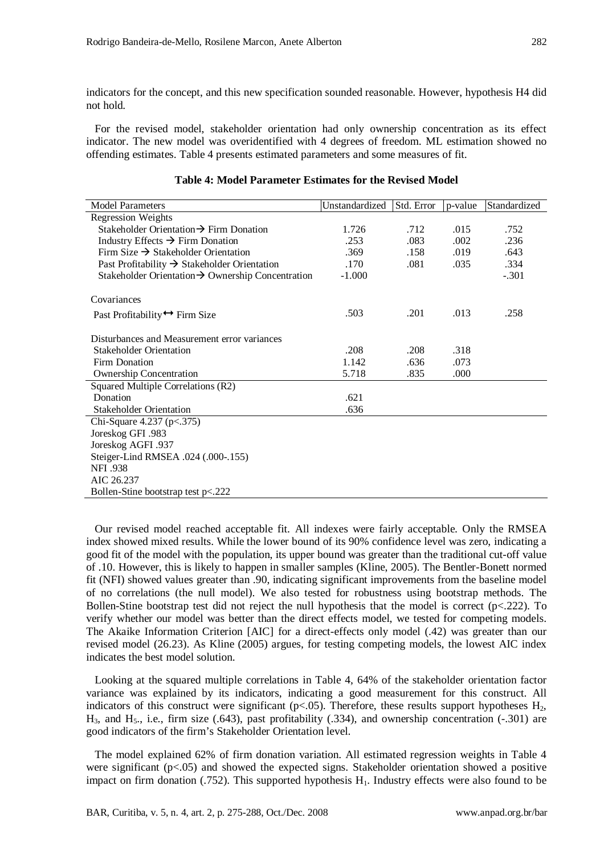indicators for the concept, and this new specification sounded reasonable. However, hypothesis H4 did not hold.

For the revised model, stakeholder orientation had only ownership concentration as its effect indicator. The new model was overidentified with 4 degrees of freedom. ML estimation showed no offending estimates. Table 4 presents estimated parameters and some measures of fit.

| <b>Model Parameters</b>                                       | Unstandardized | Std. Error | p-value | Standardized |  |
|---------------------------------------------------------------|----------------|------------|---------|--------------|--|
| <b>Regression Weights</b>                                     |                |            |         |              |  |
| Stakeholder Orientation $\rightarrow$ Firm Donation           | 1.726          | .712       | .015    | .752         |  |
| Industry Effects $\rightarrow$ Firm Donation                  | .253           | .083       | .002    | .236         |  |
| Firm Size $\rightarrow$ Stakeholder Orientation               | .369           | .158       | .019    | .643         |  |
| Past Profitability $\rightarrow$ Stakeholder Orientation      | .170           | .081       | .035    | .334         |  |
| Stakeholder Orientation $\rightarrow$ Ownership Concentration | $-1.000$       |            |         | $-.301$      |  |
| Covariances                                                   |                |            |         |              |  |
| Past Profitability $\leftrightarrow$ Firm Size                | .503           | .201       | .013    | .258         |  |
| Disturbances and Measurement error variances                  |                |            |         |              |  |
| <b>Stakeholder Orientation</b>                                | .208           | .208       | .318    |              |  |
| Firm Donation                                                 | 1.142          | .636       | .073    |              |  |
| <b>Ownership Concentration</b>                                | 5.718          | .835       | .000    |              |  |
| Squared Multiple Correlations (R2)                            |                |            |         |              |  |
| Donation                                                      | .621           |            |         |              |  |
| <b>Stakeholder Orientation</b>                                | .636           |            |         |              |  |
| Chi-Square 4.237 (p<.375)                                     |                |            |         |              |  |
| Joreskog GFI .983                                             |                |            |         |              |  |
| Joreskog AGFI .937                                            |                |            |         |              |  |
| Steiger-Lind RMSEA .024 (.000-.155)                           |                |            |         |              |  |
| NFI .938                                                      |                |            |         |              |  |
| AIC 26.237                                                    |                |            |         |              |  |
| Bollen-Stine bootstrap test p<.222                            |                |            |         |              |  |

#### **Table 4: Model Parameter Estimates for the Revised Model**

Our revised model reached acceptable fit. All indexes were fairly acceptable. Only the RMSEA index showed mixed results. While the lower bound of its 90% confidence level was zero, indicating a good fit of the model with the population, its upper bound was greater than the traditional cut-off value of .10. However, this is likely to happen in smaller samples (Kline, 2005). The Bentler-Bonett normed fit (NFI) showed values greater than .90, indicating significant improvements from the baseline model of no correlations (the null model). We also tested for robustness using bootstrap methods. The Bollen-Stine bootstrap test did not reject the null hypothesis that the model is correct (p<.222). To verify whether our model was better than the direct effects model, we tested for competing models. The Akaike Information Criterion [AIC] for a direct-effects only model (.42) was greater than our revised model (26.23). As Kline (2005) argues, for testing competing models, the lowest AIC index indicates the best model solution.

Looking at the squared multiple correlations in Table 4, 64% of the stakeholder orientation factor variance was explained by its indicators, indicating a good measurement for this construct. All indicators of this construct were significant ( $p<0.05$ ). Therefore, these results support hypotheses  $H_2$ ,  $H_3$ , and  $H_5$ , i.e., firm size (.643), past profitability (.334), and ownership concentration (-.301) are good indicators of the firm's Stakeholder Orientation level.

The model explained 62% of firm donation variation. All estimated regression weights in Table 4 were significant  $(p<0.05)$  and showed the expected signs. Stakeholder orientation showed a positive impact on firm donation  $(.752)$ . This supported hypothesis  $H<sub>1</sub>$ . Industry effects were also found to be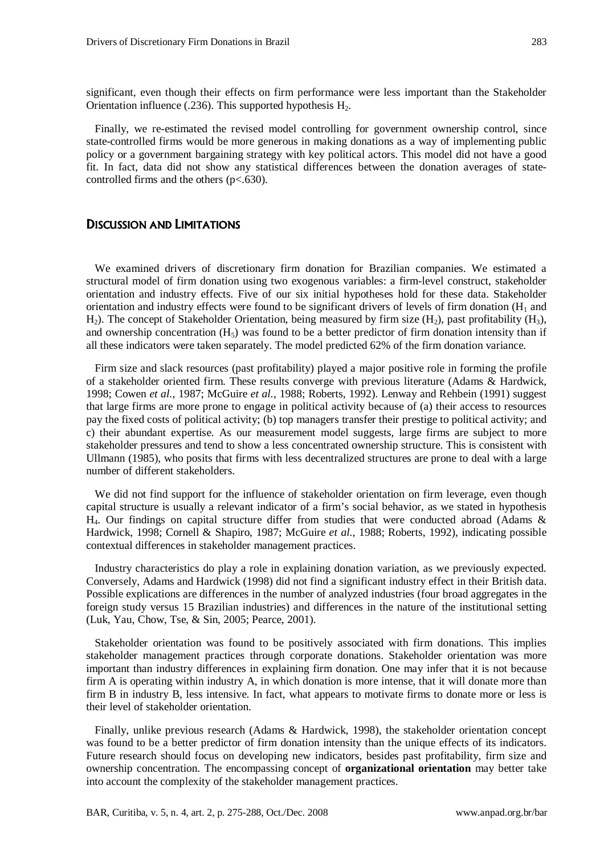significant, even though their effects on firm performance were less important than the Stakeholder Orientation influence (.236). This supported hypothesis  $H_2$ .

Finally, we re-estimated the revised model controlling for government ownership control, since state-controlled firms would be more generous in making donations as a way of implementing public policy or a government bargaining strategy with key political actors. This model did not have a good fit. In fact, data did not show any statistical differences between the donation averages of statecontrolled firms and the others (p<.630).

# DISCUSSION AND LIMITATIONS

We examined drivers of discretionary firm donation for Brazilian companies. We estimated a structural model of firm donation using two exogenous variables: a firm-level construct, stakeholder orientation and industry effects. Five of our six initial hypotheses hold for these data. Stakeholder orientation and industry effects were found to be significant drivers of levels of firm donation  $(H_1)$  and H<sub>2</sub>). The concept of Stakeholder Orientation, being measured by firm size  $(H_2)$ , past profitability  $(H_3)$ , and ownership concentration  $(H_5)$  was found to be a better predictor of firm donation intensity than if all these indicators were taken separately. The model predicted 62% of the firm donation variance.

Firm size and slack resources (past profitability) played a major positive role in forming the profile of a stakeholder oriented firm. These results converge with previous literature (Adams & Hardwick, 1998; Cowen *et al.*, 1987; McGuire *et al.*, 1988; Roberts, 1992). Lenway and Rehbein (1991) suggest that large firms are more prone to engage in political activity because of (a) their access to resources pay the fixed costs of political activity; (b) top managers transfer their prestige to political activity; and c) their abundant expertise. As our measurement model suggests, large firms are subject to more stakeholder pressures and tend to show a less concentrated ownership structure. This is consistent with Ullmann (1985), who posits that firms with less decentralized structures are prone to deal with a large number of different stakeholders.

We did not find support for the influence of stakeholder orientation on firm leverage, even though capital structure is usually a relevant indicator of a firm's social behavior, as we stated in hypothesis H4. Our findings on capital structure differ from studies that were conducted abroad (Adams & Hardwick, 1998; Cornell & Shapiro, 1987; McGuire *et al.*, 1988; Roberts, 1992), indicating possible contextual differences in stakeholder management practices.

Industry characteristics do play a role in explaining donation variation, as we previously expected. Conversely, Adams and Hardwick (1998) did not find a significant industry effect in their British data. Possible explications are differences in the number of analyzed industries (four broad aggregates in the foreign study versus 15 Brazilian industries) and differences in the nature of the institutional setting (Luk, Yau, Chow, Tse, & Sin, 2005; Pearce, 2001).

Stakeholder orientation was found to be positively associated with firm donations. This implies stakeholder management practices through corporate donations. Stakeholder orientation was more important than industry differences in explaining firm donation. One may infer that it is not because firm A is operating within industry A, in which donation is more intense, that it will donate more than firm B in industry B, less intensive. In fact, what appears to motivate firms to donate more or less is their level of stakeholder orientation.

Finally, unlike previous research (Adams & Hardwick, 1998), the stakeholder orientation concept was found to be a better predictor of firm donation intensity than the unique effects of its indicators. Future research should focus on developing new indicators, besides past profitability, firm size and ownership concentration. The encompassing concept of **organizational orientation** may better take into account the complexity of the stakeholder management practices.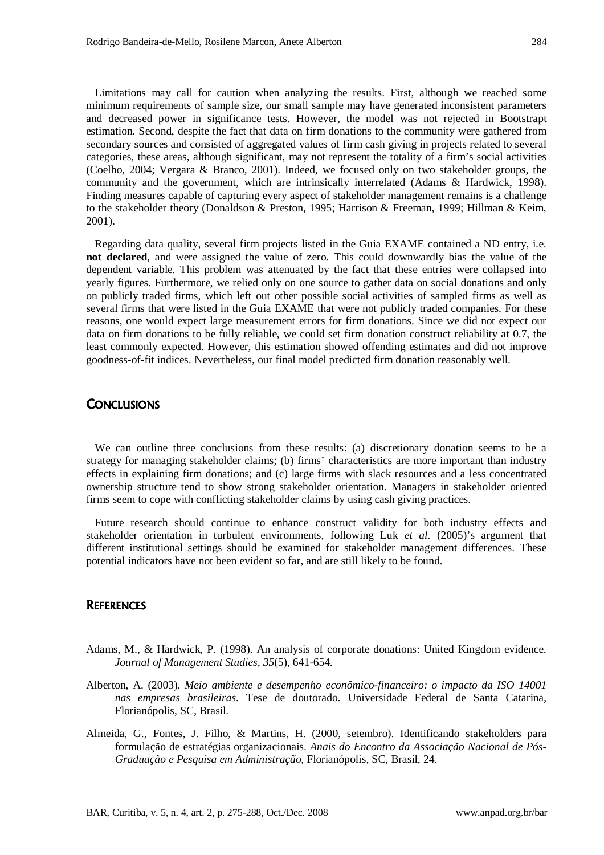Limitations may call for caution when analyzing the results. First, although we reached some minimum requirements of sample size, our small sample may have generated inconsistent parameters and decreased power in significance tests. However, the model was not rejected in Bootstrapt estimation. Second, despite the fact that data on firm donations to the community were gathered from secondary sources and consisted of aggregated values of firm cash giving in projects related to several categories, these areas, although significant, may not represent the totality of a firm's social activities (Coelho, 2004; Vergara & Branco, 2001). Indeed, we focused only on two stakeholder groups, the community and the government, which are intrinsically interrelated (Adams & Hardwick, 1998). Finding measures capable of capturing every aspect of stakeholder management remains is a challenge to the stakeholder theory (Donaldson & Preston, 1995; Harrison & Freeman, 1999; Hillman & Keim, 2001).

Regarding data quality, several firm projects listed in the Guia EXAME contained a ND entry, i.e. **not declared**, and were assigned the value of zero. This could downwardly bias the value of the dependent variable. This problem was attenuated by the fact that these entries were collapsed into yearly figures. Furthermore, we relied only on one source to gather data on social donations and only on publicly traded firms, which left out other possible social activities of sampled firms as well as several firms that were listed in the Guia EXAME that were not publicly traded companies. For these reasons, one would expect large measurement errors for firm donations. Since we did not expect our data on firm donations to be fully reliable, we could set firm donation construct reliability at 0.7, the least commonly expected. However, this estimation showed offending estimates and did not improve goodness-of-fit indices. Nevertheless, our final model predicted firm donation reasonably well.

# **CONCLUSIONS**

We can outline three conclusions from these results: (a) discretionary donation seems to be a strategy for managing stakeholder claims; (b) firms' characteristics are more important than industry effects in explaining firm donations; and (c) large firms with slack resources and a less concentrated ownership structure tend to show strong stakeholder orientation. Managers in stakeholder oriented firms seem to cope with conflicting stakeholder claims by using cash giving practices.

Future research should continue to enhance construct validity for both industry effects and stakeholder orientation in turbulent environments, following Luk *et al.* (2005)'s argument that different institutional settings should be examined for stakeholder management differences. These potential indicators have not been evident so far, and are still likely to be found.

# **REFERENCES**

- Adams, M., & Hardwick, P. (1998). An analysis of corporate donations: United Kingdom evidence. *Journal of Management Studies, 35*(5), 641-654.
- Alberton, A. (2003). *Meio ambiente e desempenho econômico-financeiro: o impacto da ISO 14001 nas empresas brasileiras.* Tese de doutorado. Universidade Federal de Santa Catarina, Florianópolis, SC, Brasil.
- Almeida, G., Fontes, J. Filho, & Martins, H. (2000, setembro). Identificando stakeholders para formulação de estratégias organizacionais. *Anais do Encontro da Associação Nacional de Pós-Graduação e Pesquisa em Administração,* Florianópolis, SC, Brasil, 24.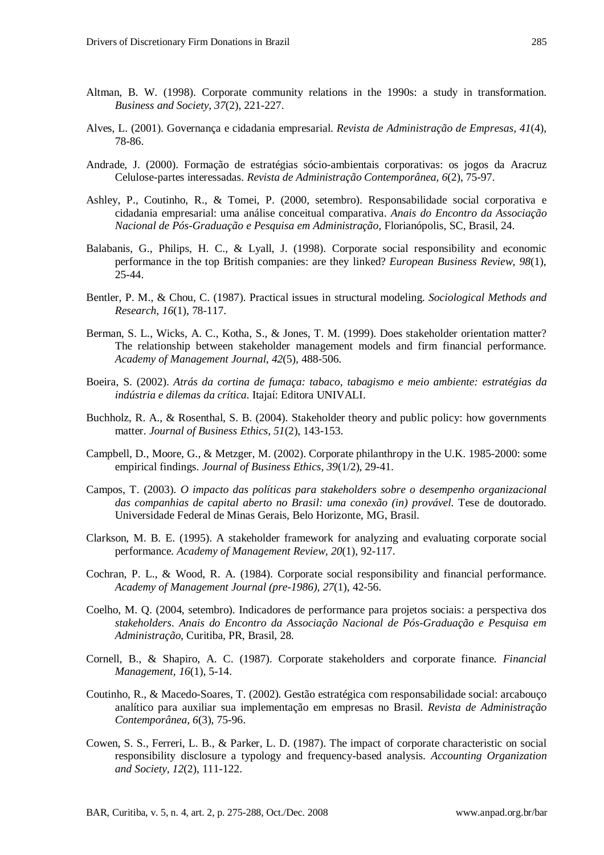- Altman, B. W. (1998). Corporate community relations in the 1990s: a study in transformation. *Business and Society, 37*(2), 221-227.
- Alves, L. (2001). Governança e cidadania empresarial. *Revista de Administração de Empresas, 41*(4), 78-86.
- Andrade, J. (2000). Formação de estratégias sócio-ambientais corporativas: os jogos da Aracruz Celulose-partes interessadas. *Revista de Administração Contemporânea, 6*(2), 75-97.
- Ashley, P., Coutinho, R., & Tomei, P. (2000, setembro). Responsabilidade social corporativa e cidadania empresarial: uma análise conceitual comparativa. *Anais do Encontro da Associação Nacional de Pós-Graduação e Pesquisa em Administração,* Florianópolis, SC, Brasil, 24.
- Balabanis, G., Philips, H. C., & Lyall, J. (1998). Corporate social responsibility and economic performance in the top British companies: are they linked? *European Business Review, 98*(1), 25-44.
- Bentler, P. M., & Chou, C. (1987). Practical issues in structural modeling. *Sociological Methods and Research, 16*(1), 78-117.
- Berman, S. L., Wicks, A. C., Kotha, S., & Jones, T. M. (1999). Does stakeholder orientation matter? The relationship between stakeholder management models and firm financial performance. *Academy of Management Journal, 42*(5), 488-506.
- Boeira, S. (2002). *Atrás da cortina de fumaça: tabaco, tabagismo e meio ambiente: estratégias da indústria e dilemas da crítica*. Itajaí: Editora UNIVALI.
- Buchholz, R. A., & Rosenthal, S. B. (2004). Stakeholder theory and public policy: how governments matter. *Journal of Business Ethics, 51*(2), 143-153.
- Campbell, D., Moore, G., & Metzger, M. (2002). Corporate philanthropy in the U.K. 1985-2000: some empirical findings. *Journal of Business Ethics, 39*(1/2), 29-41.
- Campos, T. (2003). *O impacto das políticas para stakeholders sobre o desempenho organizacional das companhias de capital aberto no Brasil: uma conexão (in) provável.* Tese de doutorado. Universidade Federal de Minas Gerais, Belo Horizonte, MG, Brasil.
- Clarkson, M. B. E. (1995). A stakeholder framework for analyzing and evaluating corporate social performance. *Academy of Management Review, 20*(1), 92-117.
- Cochran, P. L., & Wood, R. A. (1984). Corporate social responsibility and financial performance. *Academy of Management Journal (pre-1986), 27*(1), 42-56.
- Coelho, M. Q. (2004, setembro). Indicadores de performance para projetos sociais: a perspectiva dos *stakeholders*. *Anais do Encontro da Associação Nacional de Pós-Graduação e Pesquisa em Administração,* Curitiba, PR, Brasil, 28.
- Cornell, B., & Shapiro, A. C. (1987). Corporate stakeholders and corporate finance. *Financial Management, 16*(1), 5-14.
- Coutinho, R., & Macedo-Soares, T. (2002). Gestão estratégica com responsabilidade social: arcabouço analítico para auxiliar sua implementação em empresas no Brasil. *Revista de Administração Contemporânea, 6*(3), 75-96.
- Cowen, S. S., Ferreri, L. B., & Parker, L. D. (1987). The impact of corporate characteristic on social responsibility disclosure a typology and frequency-based analysis. *Accounting Organization and Society, 12*(2), 111-122.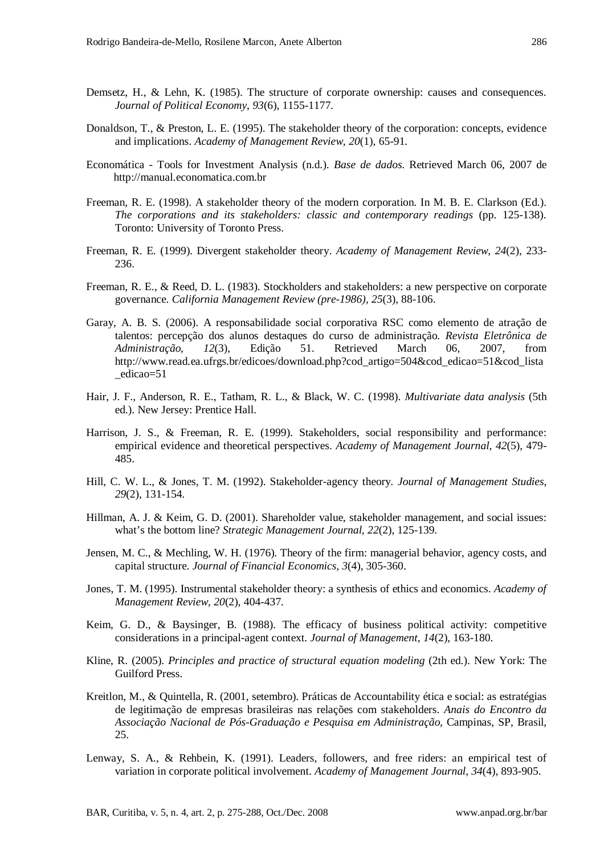- Demsetz, H., & Lehn, K. (1985). The structure of corporate ownership: causes and consequences. *Journal of Political Economy*, *93*(6), 1155-1177.
- Donaldson, T., & Preston, L. E. (1995). The stakeholder theory of the corporation: concepts, evidence and implications. *Academy of Management Review, 20*(1), 65-91.
- Economática Tools for Investment Analysis (n.d.). *Base de dados*. Retrieved March 06, 2007 de http://manual.economatica.com.br
- Freeman, R. E. (1998). A stakeholder theory of the modern corporation. In M. B. E. Clarkson (Ed.). *The corporations and its stakeholders: classic and contemporary readings* (pp. 125-138). Toronto: University of Toronto Press.
- Freeman, R. E. (1999). Divergent stakeholder theory. *Academy of Management Review, 24*(2), 233- 236.
- Freeman, R. E., & Reed, D. L. (1983). Stockholders and stakeholders: a new perspective on corporate governance. *California Management Review (pre-1986), 25*(3), 88-106.
- Garay, A. B. S. (2006). A responsabilidade social corporativa RSC como elemento de atração de talentos: percepção dos alunos destaques do curso de administração. *Revista Eletrônica de Administração, 12*(3), Edição 51. Retrieved March 06, 2007, from http://www.read.ea.ufrgs.br/edicoes/download.php?cod\_artigo=504&cod\_edicao=51&cod\_lista \_edicao=51
- Hair, J. F., Anderson, R. E., Tatham, R. L., & Black, W. C. (1998). *Multivariate data analysis* (5th ed.). New Jersey: Prentice Hall.
- Harrison, J. S., & Freeman, R. E. (1999). Stakeholders, social responsibility and performance: empirical evidence and theoretical perspectives. *Academy of Management Journal, 42*(5), 479- 485.
- Hill, C. W. L., & Jones, T. M. (1992). Stakeholder-agency theory*. Journal of Management Studies, 29*(2), 131-154.
- Hillman, A. J. & Keim, G. D. (2001). Shareholder value, stakeholder management, and social issues: what's the bottom line? *Strategic Management Journal, 22*(2), 125-139.
- Jensen, M. C., & Mechling, W. H. (1976). Theory of the firm: managerial behavior, agency costs, and capital structure. *Journal of Financial Economics, 3*(4), 305-360.
- Jones, T. M. (1995). Instrumental stakeholder theory: a synthesis of ethics and economics. *Academy of Management Review, 20*(2), 404-437.
- Keim, G. D., & Baysinger, B. (1988). The efficacy of business political activity: competitive considerations in a principal-agent context. *Journal of Management, 14*(2), 163-180.
- Kline, R. (2005). *Principles and practice of structural equation modeling* (2th ed.). New York: The Guilford Press.
- Kreitlon, M., & Quintella, R. (2001, setembro). Práticas de Accountability ética e social: as estratégias de legitimação de empresas brasileiras nas relações com stakeholders. *Anais do Encontro da Associação Nacional de Pós-Graduação e Pesquisa em Administração,* Campinas, SP, Brasil, 25.
- Lenway, S. A., & Rehbein, K. (1991). Leaders, followers, and free riders: an empirical test of variation in corporate political involvement. *Academy of Management Journal*, *34*(4), 893-905.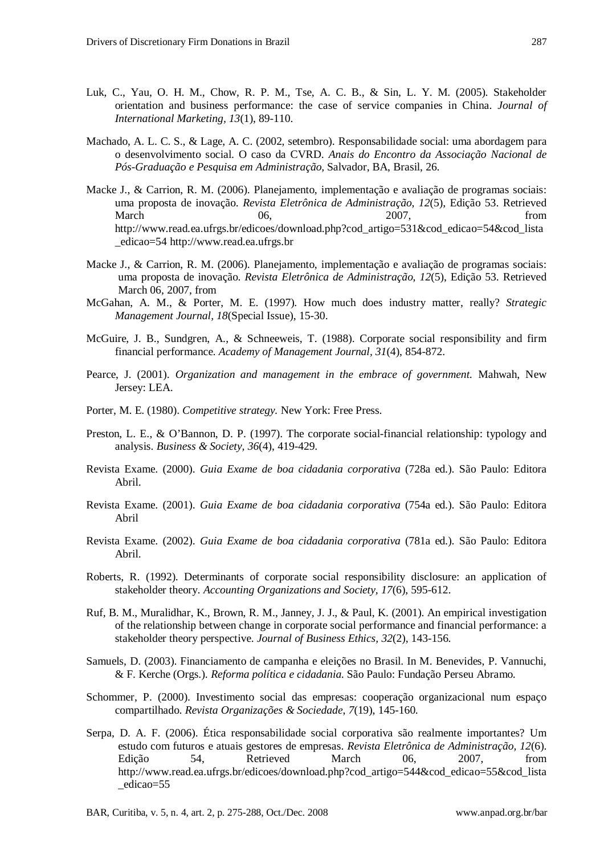- Luk, C., Yau, O. H. M., Chow, R. P. M., Tse, A. C. B., & Sin, L. Y. M. (2005). Stakeholder orientation and business performance: the case of service companies in China. *Journal of International Marketing, 13*(1), 89-110.
- Machado, A. L. C. S., & Lage, A. C. (2002, setembro). Responsabilidade social: uma abordagem para o desenvolvimento social. O caso da CVRD. *Anais do Encontro da Associação Nacional de Pós-Graduação e Pesquisa em Administração,* Salvador, BA, Brasil, 26.
- Macke J., & Carrion, R. M. (2006). Planejamento, implementação e avaliação de programas sociais: uma proposta de inovação. *Revista Eletrônica de Administração*, *12*(5), Edição 53. Retrieved March 06, 2007, from http://www.read.ea.ufrgs.br/edicoes/download.php?cod\_artigo=531&cod\_edicao=54&cod\_lista \_edicao=54 http://www.read.ea.ufrgs.br
- Macke J., & Carrion, R. M. (2006). Planejamento, implementação e avaliação de programas sociais: uma proposta de inovação. *Revista Eletrônica de Administração*, *12*(5), Edição 53. Retrieved March 06, 2007, from
- McGahan, A. M., & Porter, M. E. (1997). How much does industry matter, really? *Strategic Management Journal, 18*(Special Issue), 15-30.
- McGuire, J. B., Sundgren, A., & Schneeweis, T. (1988). Corporate social responsibility and firm financial performance. *Academy of Management Journal, 31*(4), 854-872.
- Pearce, J. (2001). *Organization and management in the embrace of government.* Mahwah, New Jersey: LEA.
- Porter, M. E. (1980). *Competitive strategy.* New York: Free Press.
- Preston, L. E., & O'Bannon, D. P. (1997). The corporate social-financial relationship: typology and analysis. *Business & Society, 36*(4), 419-429.
- Revista Exame. (2000). *Guia Exame de boa cidadania corporativa* (728a ed.). São Paulo: Editora Abril.
- Revista Exame. (2001). *Guia Exame de boa cidadania corporativa* (754a ed.). São Paulo: Editora Abril
- Revista Exame. (2002). *Guia Exame de boa cidadania corporativa* (781a ed.). São Paulo: Editora Abril.
- Roberts, R. (1992). Determinants of corporate social responsibility disclosure: an application of stakeholder theory. *Accounting Organizations and Society, 17*(6), 595-612.
- Ruf, B. M., Muralidhar, K., Brown, R. M., Janney, J. J., & Paul, K. (2001). An empirical investigation of the relationship between change in corporate social performance and financial performance: a stakeholder theory perspective. *Journal of Business Ethics, 32*(2), 143-156.
- Samuels, D. (2003). Financiamento de campanha e eleições no Brasil. In M. Benevides, P. Vannuchi, & F. Kerche (Orgs.). *Reforma política e cidadania.* São Paulo: Fundação Perseu Abramo.
- Schommer, P. (2000). Investimento social das empresas: cooperação organizacional num espaço compartilhado. *Revista Organizações & Sociedade*, *7*(19), 145-160.
- Serpa, D. A. F. (2006). Ética responsabilidade social corporativa são realmente importantes? Um estudo com futuros e atuais gestores de empresas. *Revista Eletrônica de Administração, 12*(6). Edição 54, Retrieved March 06, 2007, from http://www.read.ea.ufrgs.br/edicoes/download.php?cod\_artigo=544&cod\_edicao=55&cod\_lista \_edicao=55